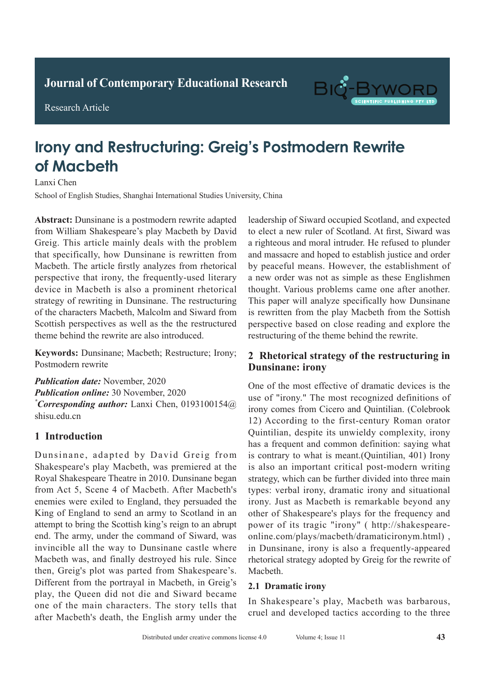**Journal of Clinical and Nursing Research Journal of Contemporary Educational Research**



Research Article

# BIG-B

## **Irony and Restructuring: Greig's Postmodern Rewrite Of Macbeth Diagnostic Value of Spiral CT Chest Enhanced Scan in Active Of Spiral CT Chest Enhanced Scan in Active Of Spiral CT Chest Enhanced Scan in**  $\mathcal{L}$ Lanxi Chen

Lanxi Chen

School of English Studies, Shanghai International Studies University, China

Abstract: Dunsinane is a postmodern rewrite adapted from William Shakespeare's play Macbeth by David Greig. This article mainly deals with the problem that specifically, how Dunsinane is rewritten from Macbeth. The article firstly analyzes from rhetorical perspective that irony, the frequently-used literary device in Macbeth is also a prominent rhetorical strategy of rewriting in Dunsinane. The restructuring of the characters Macbeth, Malcolm and Siward from Scottish perspectives as well as the the restructured theme behind the rewrite are also introduced.

Keywords: Dunsinane; Macbeth; Restructure; Irony; Postmodern rewrite

**Publication date:** November, 2020 **Publication online:** 30 November, 2020 *\*Corresponding author:* Lanxi Chen, 0193100154@  $s$ hisu.edu.cn

#### **1 Introduction** which was significantly higher than that of conventional than that of conventional than that of conventional than the conventional than the conventional than the conventional than the conventional than the conventional tha

Dunsinane, adapted by David Greig from Shakespeare's play Macbeth, was premiered at the Royal Shakespeare Theatre in 2010. Dunsinane began from Act 5, Scene 4 of Macbeth. After Macbeth's enemies were exiled to England, they persuaded the King of England to send an army to Scotland in an attempt to bring the Scottish king's reign to an abrupt invincible all the way to Dunsinane castle where Macbeth was, and finally destroyed his rule. Since then, Greig's plot was parted from Shakespeare's. Different from the portrayal in Macbeth, in Greig's play, the Queen did not die and Siward became one of the main characters. The story tells that after Macbeth's death, the English army under the end. The army, under the command of Siward, was *\*Corresponding author:* Ruishu Wang, wrs26121939@

leadership of Siward occupied Scotland, and expected to elect a new ruler of Scotland. At first, Siward was a righteous and moral intruder. He refused to plunder and massacre and hoped to establish justice and order by peaceful means. However, the establishment of a new order was not as simple as these Englishmen thought. Various problems came one after another. This paper will analyze specifically how Dunsinane is rewritten from the play Macbeth from the Sottish perspective based on close reading and explore the restructuring of the theme behind the rewrite.

#### 2 Rhetorical strategy of the restructuring in **Dunsinane: irony**  $\epsilon$  into the stategy of the restricturing in

 $\mathcal{O}(\mathcal{O})$  into tuberculosis when the allergy into tuberculosis when the allergy increases  $\mathcal{O}(\mathcal{O})$ 

Pathological examination is the gold standard for One of the most effective of dramatic devices is the use of "irony." The most recognized definitions of irony comes from Cicero and Quintilian. (Colebrook 12) According to the first-century Roman orator Quintilian, despite its unwieldy complexity, irony has a frequent and common definition: saying what is contrary to what is meant.(Quintilian, 401) Irony is also an important critical post-modern writing is strategy, which can be further divided into three main strategy, which can be further divided into three main types: verbal irony, dramatic irony and situational irony. Just as Macbeth is remarkable beyond any power of its tragic "irony" ( http://shakespearein Dunsinane, irony is also a frequently-appeared rhetorical strategy adopted by Greig for the rewrite of pulmonary tuberculosis who were the were the were the were the were the were the were the were the were the were the were the were the were the were the were the were the were the were the were the were the were the were t other of Shakespeare's plays for the frequency and online.com/plays/macbeth/dramaticironym.html), Macbeth.  $T$  admits with a during with a during with a during with a during with a during with a during with a during with a during with a during with  $T$ 

### 2.1 Dramatic irony

In Shakespeare's play, Macbeth was barbarous, conventional chest X-ray scandal chest X-ray scandal chest X-ray scandal chest X-ray scandal chest cruel and developed tactics according to the three In Shakespeare's play, Macbeth was barbarous,<br>cruel and developed tactics according to the three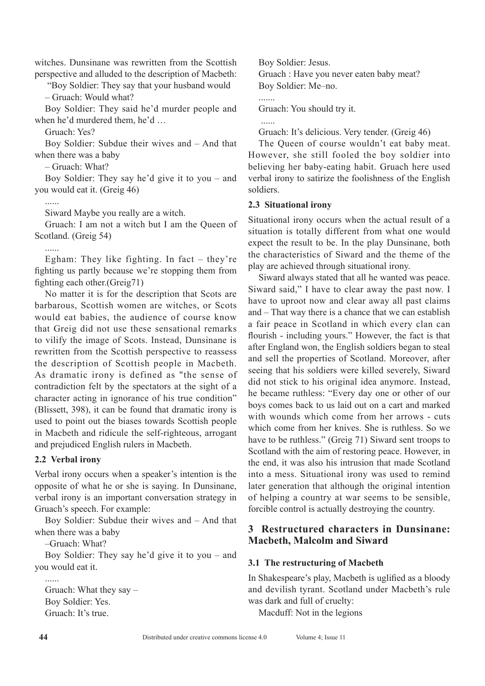witches. Dunsinane was rewritten from the Scottish perspective and alluded to the description of Macbeth:

 "Boy Soldier: They say that your husband would – Gruach: Would what?

Boy Soldier: They said he'd murder people and when he'd murdered them, he'd …

Gruach: Yes?

Boy Soldier: Subdue their wives and – And that when there was a baby

– Gruach: What?

Boy Soldier: They say he'd give it to you – and you would eat it. (Greig 46)

......

Siward Maybe you really are a witch.

Gruach: I am not a witch but I am the Queen of Scotland. (Greig 54)

Egham: They like fighting. In fact  $-$  they're fighting us partly because we're stopping them from fighting each other.(Greig71)

No matter it is for the description that Scots are barbarous, Scottish women are witches, or Scots would eat babies, the audience of course know that Greig did not use these sensational remarks to vilify the image of Scots. Instead, Dunsinane is rewritten from the Scottish perspective to reassess the description of Scottish people in Macbeth. As dramatic irony is defined as "the sense of contradiction felt by the spectators at the sight of a character acting in ignorance of his true condition" (Blissett, 398), it can be found that dramatic irony is used to point out the biases towards Scottish people in Macbeth and ridicule the self-righteous, arrogant and prejudiced English rulers in Macbeth.

#### **2.2 Verbal irony**

Verbal irony occurs when a speaker's intention is the opposite of what he or she is saying. In Dunsinane, verbal irony is an important conversation strategy in Gruach's speech. For example:

Boy Soldier: Subdue their wives and – And that when there was a baby

–Gruach: What?

Boy Soldier: They say he'd give it to you – and you would eat it.

...... Gruach: What they say – Boy Soldier: Yes. Gruach: It's true.

Boy Soldier: Jesus. Gruach : Have you never eaten baby meat? Boy Soldier: Me–no.

Gruach: You should try it.

......

.......

Gruach: It's delicious. Very tender. (Greig 46)

The Queen of course wouldn't eat baby meat. However, she still fooled the boy soldier into believing her baby-eating habit. Gruach here used verbal irony to satirize the foolishness of the English soldiers.

#### **2.3 Situational irony**

Situational irony occurs when the actual result of a situation is totally different from what one would expect the result to be. In the play Dunsinane, both the characteristics of Siward and the theme of the play are achieved through situational irony.

Siward always stated that all he wanted was peace. Siward said," I have to clear away the past now. I have to uproot now and clear away all past claims and – That way there is a chance that we can establish a fair peace in Scotland in which every clan can flourish - including yours." However, the fact is that after England won, the English soldiers began to steal and sell the properties of Scotland. Moreover, after seeing that his soldiers were killed severely, Siward did not stick to his original idea anymore. Instead, he became ruthless: "Every day one or other of our boys comes back to us laid out on a cart and marked with wounds which come from her arrows - cuts which come from her knives. She is ruthless. So we have to be ruthless." (Greig 71) Siward sent troops to Scotland with the aim of restoring peace. However, in the end, it was also his intrusion that made Scotland into a mess. Situational irony was used to remind later generation that although the original intention of helping a country at war seems to be sensible, forcible control is actually destroying the country.

#### **3 Restructured characters in Dunsinane: Macbeth, Malcolm and Siward**

#### **3.1 The restructuring of Macbeth**

In Shakespeare's play, Macbeth is uglified as a bloody and devilish tyrant. Scotland under Macbeth's rule was dark and full of cruelty:

Macduff: Not in the legions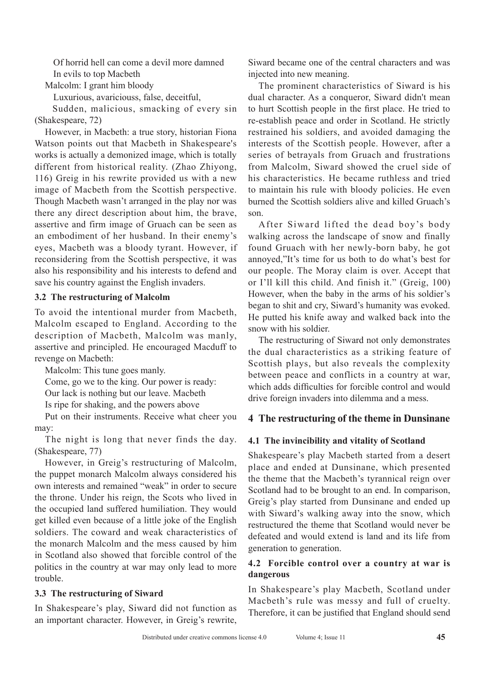Of horrid hell can come a devil more damned In evils to top Macbeth

Malcolm: I grant him bloody

Luxurious, avariciouss, false, deceitful,

 Sudden, malicious, smacking of every sin (Shakespeare, 72)

However, in Macbeth: a true story, historian Fiona Watson points out that Macbeth in Shakespeare's works is actually a demonized image, which is totally different from historical reality. (Zhao Zhiyong, 116) Greig in his rewrite provided us with a new image of Macbeth from the Scottish perspective. Though Macbeth wasn't arranged in the play nor was there any direct description about him, the brave, assertive and firm image of Gruach can be seen as an embodiment of her husband. In their enemy's eyes, Macbeth was a bloody tyrant. However, if reconsidering from the Scottish perspective, it was also his responsibility and his interests to defend and save his country against the English invaders.

#### **3.2 The restructuring of Malcolm**

To avoid the intentional murder from Macbeth, Malcolm escaped to England. According to the description of Macbeth, Malcolm was manly, assertive and principled. He encouraged Macduff to revenge on Macbeth:

Malcolm: This tune goes manly. Come, go we to the king. Our power is ready:

Our lack is nothing but our leave. Macbeth

Is ripe for shaking, and the powers above

Put on their instruments. Receive what cheer you may:

The night is long that never finds the day. (Shakespeare, 77)

However, in Greig's restructuring of Malcolm, the puppet monarch Malcolm always considered his own interests and remained "weak" in order to secure the throne. Under his reign, the Scots who lived in the occupied land suffered humiliation. They would get killed even because of a little joke of the English soldiers. The coward and weak characteristics of the monarch Malcolm and the mess caused by him in Scotland also showed that forcible control of the politics in the country at war may only lead to more trouble.

#### **3.3 The restructuring of Siward**

In Shakespeare's play, Siward did not function as an important character. However, in Greig's rewrite, Siward became one of the central characters and was injected into new meaning.

The prominent characteristics of Siward is his dual character. As a conqueror, Siward didn't mean to hurt Scottish people in the first place. He tried to re-establish peace and order in Scotland. He strictly restrained his soldiers, and avoided damaging the interests of the Scottish people. However, after a series of betrayals from Gruach and frustrations from Malcolm, Siward showed the cruel side of his characteristics. He became ruthless and tried to maintain his rule with bloody policies. He even burned the Scottish soldiers alive and killed Gruach's son.

After Siward lifted the dead boy's body walking across the landscape of snow and finally found Gruach with her newly-born baby, he got annoyed,"It's time for us both to do what's best for our people. The Moray claim is over. Accept that or I'll kill this child. And finish it." (Greig, 100) However, when the baby in the arms of his soldier's began to shit and cry, Siward's humanity was evoked. He putted his knife away and walked back into the snow with his soldier.

The restructuring of Siward not only demonstrates the dual characteristics as a striking feature of Scottish plays, but also reveals the complexity between peace and conflicts in a country at war, which adds difficulties for forcible control and would drive foreign invaders into dilemma and a mess.

#### **4 The restructuring of the theme in Dunsinane**

#### **4.1 The invincibility and vitality of Scotland**

Shakespeare's play Macbeth started from a desert place and ended at Dunsinane, which presented the theme that the Macbeth's tyrannical reign over Scotland had to be brought to an end. In comparison, Greig's play started from Dunsinane and ended up with Siward's walking away into the snow, which restructured the theme that Scotland would never be defeated and would extend is land and its life from generation to generation.

#### **4.2 Forcible control over a country at war is dangerous**

In Shakespeare's play Macbeth, Scotland under Macbeth's rule was messy and full of cruelty. Therefore, it can be justified that England should send